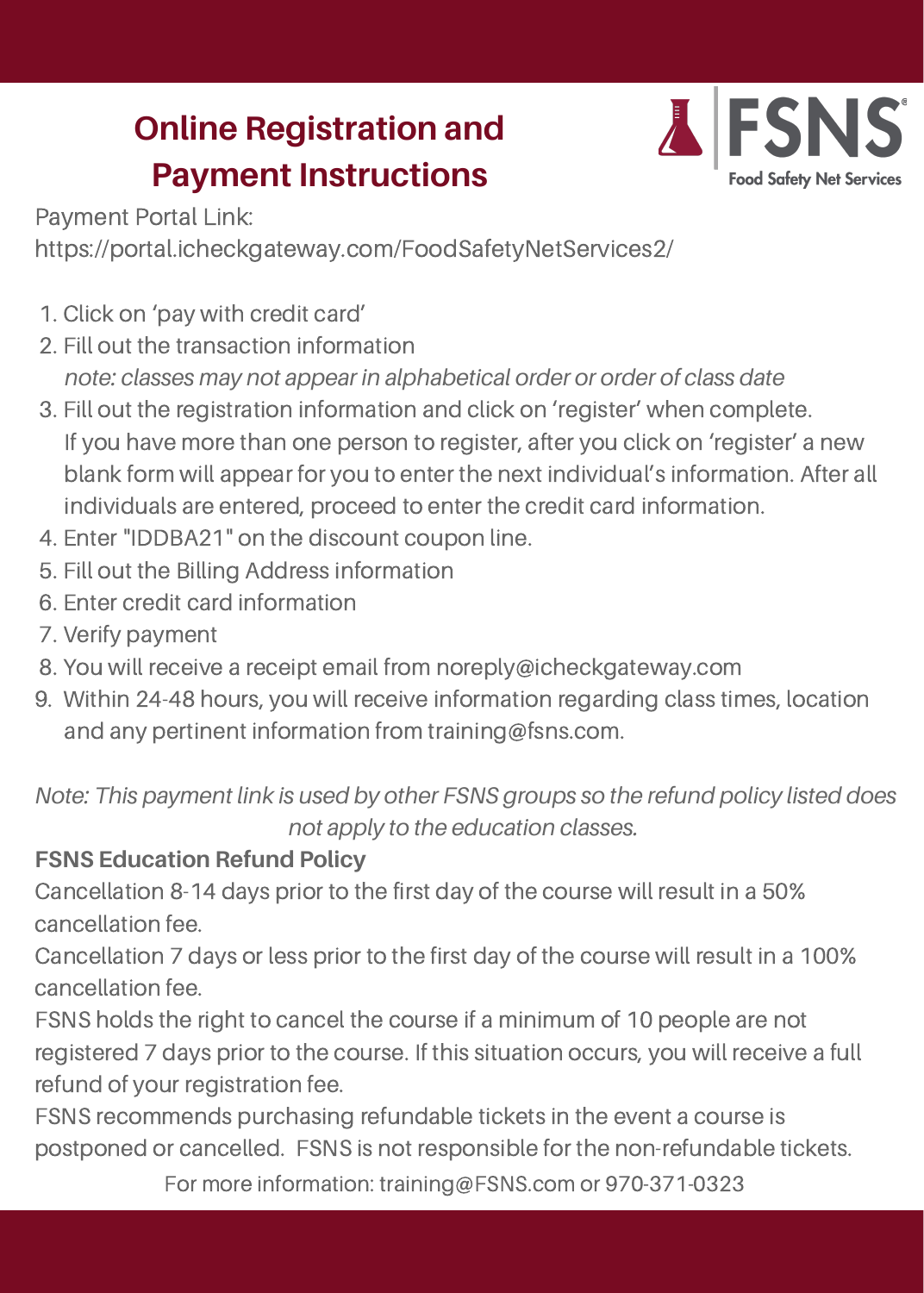# **Online Registration and Payment Instructions**



Payment Portal Link:

https://portal.icheckgateway.com/FoodSafetyNetServices2/

- 1. Click on 'pay with credit card'
- 2. Fill out the transaction information *note: classes may not appear in alphabetical order or order of class date*
- 3. Fill out the registration information and click on 'register' when complete. If you have more than one person to register, after you click on 'register' a new blank form will appear for you to enter the next individual's information. After all individuals are entered, proceed to enter the credit card information.
- 4. Enter "IDDBA21" on the discount coupon line.
- 5. Fill out the Billing Address information
- 6. Enter credit card information
- 7. Verify payment
- 8. You will receive a receipt email from noreply@icheckgateway.com
- 9. Within 24-48 hours, you will receive information regarding class times, location and any pertinent information from training@fsns.com.

#### **FSNS Education Refund Policy**

Cancellation 8-14 days prior to the first day of the course will result in a 50% cancellation fee.

Cancellation 7 days or less prior to the first day of the course will result in a 100% cancellation fee.

FSNS holds the right to cancel the course if a minimum of 10 people are not registered 7 days prior to the course. If this situation occurs, you will receive a full refund of your registration fee.

FSNS recommends purchasing refundable tickets in the event a course is postponed or cancelled. FSNS is not responsible for the non-refundable tickets.

For more information: training@FSNS.com or 970-371-0323

*Note: This payment link is used by other FSNS groups so the refund policy listed does not apply to the education classes.*